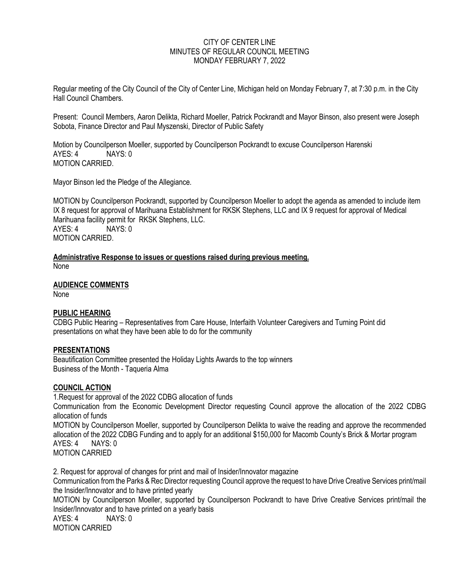## CITY OF CENTER LINE MINUTES OF REGULAR COUNCIL MEETING MONDAY FEBRUARY 7, 2022

Regular meeting of the City Council of the City of Center Line, Michigan held on Monday February 7, at 7:30 p.m. in the City Hall Council Chambers.

Present: Council Members, Aaron Delikta, Richard Moeller, Patrick Pockrandt and Mayor Binson, also present were Joseph Sobota, Finance Director and Paul Myszenski, Director of Public Safety

Motion by Councilperson Moeller, supported by Councilperson Pockrandt to excuse Councilperson Harenski AYES: 4 NAYS: 0 MOTION CARRIED.

Mayor Binson led the Pledge of the Allegiance.

MOTION by Councilperson Pockrandt, supported by Councilperson Moeller to adopt the agenda as amended to include item IX 8 request for approval of Marihuana Establishment for RKSK Stephens, LLC and IX 9 request for approval of Medical Marihuana facility permit for RKSK Stephens, LLC. AYES: 4 NAYS: 0 MOTION CARRIED.

**Administrative Response to issues or questions raised during previous meeting.** None

**AUDIENCE COMMENTS**

None

### **PUBLIC HEARING**

CDBG Public Hearing – Representatives from Care House, Interfaith Volunteer Caregivers and Turning Point did presentations on what they have been able to do for the community

### **PRESENTATIONS**

Beautification Committee presented the Holiday Lights Awards to the top winners Business of the Month - Taqueria Alma

### **COUNCIL ACTION**

1.Request for approval of the 2022 CDBG allocation of funds Communication from the Economic Development Director requesting Council approve the allocation of the 2022 CDBG allocation of funds MOTION by Councilperson Moeller, supported by Councilperson Delikta to waive the reading and approve the recommended allocation of the 2022 CDBG Funding and to apply for an additional \$150,000 for Macomb County's Brick & Mortar program AYES: 4 NAYS: 0 MOTION CARRIED

2. Request for approval of changes for print and mail of Insider/Innovator magazine Communication from the Parks & Rec Director requesting Council approve the request to have Drive Creative Services print/mail the Insider/Innovator and to have printed yearly MOTION by Councilperson Moeller, supported by Councilperson Pockrandt to have Drive Creative Services print/mail the Insider/Innovator and to have printed on a yearly basis AYES: 4 NAYS: 0 MOTION CARRIED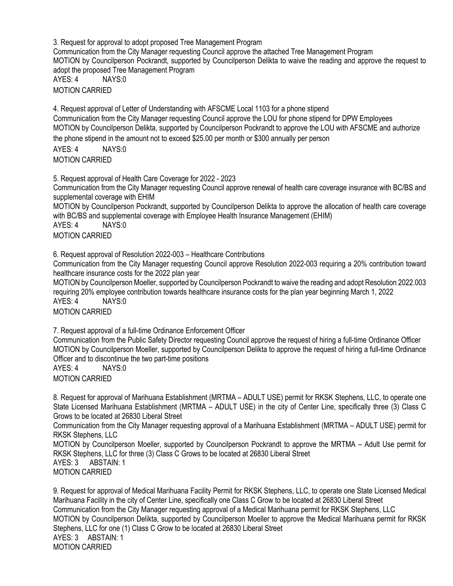3. Request for approval to adopt proposed Tree Management Program Communication from the City Manager requesting Council approve the attached Tree Management Program MOTION by Councilperson Pockrandt, supported by Councilperson Delikta to waive the reading and approve the request to adopt the proposed Tree Management Program AYES: 4 NAYS:0 MOTION CARRIED

4. Request approval of Letter of Understanding with AFSCME Local 1103 for a phone stipend Communication from the City Manager requesting Council approve the LOU for phone stipend for DPW Employees MOTION by Councilperson Delikta, supported by Councilperson Pockrandt to approve the LOU with AFSCME and authorize the phone stipend in the amount not to exceed \$25.00 per month or \$300 annually per person AYES: 4 NAYS:0

MOTION CARRIED

5. Request approval of Health Care Coverage for 2022 - 2023 Communication from the City Manager requesting Council approve renewal of health care coverage insurance with BC/BS and supplemental coverage with EHIM MOTION by Councilperson Pockrandt, supported by Councilperson Delikta to approve the allocation of health care coverage with BC/BS and supplemental coverage with Employee Health Insurance Management (EHIM) AYES: 4 NAYS:0 MOTION CARRIED

6. Request approval of Resolution 2022-003 – Healthcare Contributions

Communication from the City Manager requesting Council approve Resolution 2022-003 requiring a 20% contribution toward healthcare insurance costs for the 2022 plan year

MOTION by Councilperson Moeller, supported by Councilperson Pockrandt to waive the reading and adopt Resolution 2022.003 requiring 20% employee contribution towards healthcare insurance costs for the plan year beginning March 1, 2022 AYES: 4 NAYS:0

MOTION CARRIED

7. Request approval of a full-time Ordinance Enforcement Officer

Communication from the Public Safety Director requesting Council approve the request of hiring a full-time Ordinance Officer MOTION by Councilperson Moeller, supported by Councilperson Delikta to approve the request of hiring a full-time Ordinance Officer and to discontinue the two part-time positions

AYES: 4 NAYS:0

MOTION CARRIED

8. Request for approval of Marihuana Establishment (MRTMA – ADULT USE) permit for RKSK Stephens, LLC, to operate one State Licensed Marihuana Establishment (MRTMA – ADULT USE) in the city of Center Line, specifically three (3) Class C Grows to be located at 26830 Liberal Street

Communication from the City Manager requesting approval of a Marihuana Establishment (MRTMA – ADULT USE) permit for RKSK Stephens, LLC

MOTION by Councilperson Moeller, supported by Councilperson Pockrandt to approve the MRTMA – Adult Use permit for RKSK Stephens, LLC for three (3) Class C Grows to be located at 26830 Liberal Street AYES: 3 ABSTAIN: 1 MOTION CARRIED

9. Request for approval of Medical Marihuana Facility Permit for RKSK Stephens, LLC, to operate one State Licensed Medical Marihuana Facility in the city of Center Line, specifically one Class C Grow to be located at 26830 Liberal Street Communication from the City Manager requesting approval of a Medical Marihuana permit for RKSK Stephens, LLC MOTION by Councilperson Delikta, supported by Councilperson Moeller to approve the Medical Marihuana permit for RKSK Stephens, LLC for one (1) Class C Grow to be located at 26830 Liberal Street AYES: 3 ABSTAIN: 1 MOTION CARRIED